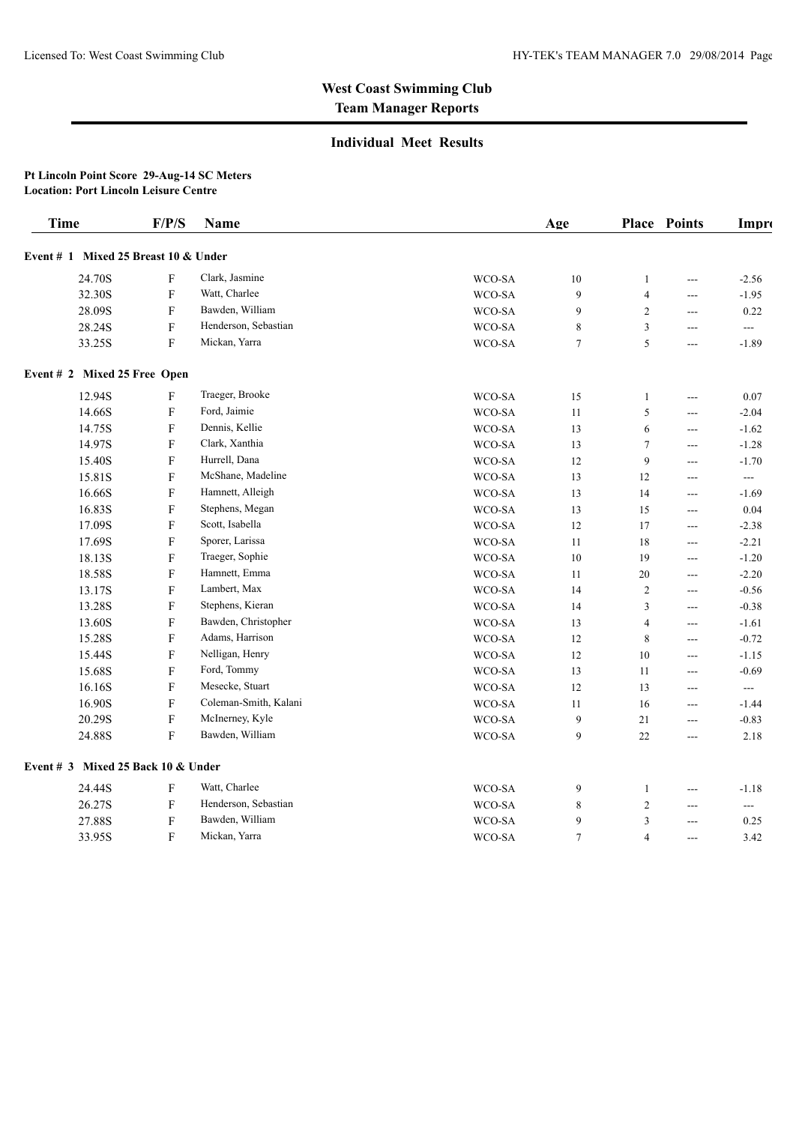## **Individual Meet Results**

#### **Pt Lincoln Point Score 29-Aug-14 SC Meters Location: Port Lincoln Leisure Centre**

| <b>Time</b>                          | F/P/S                     | Name                  |        | Age    |                | Place Points   | Impro                    |
|--------------------------------------|---------------------------|-----------------------|--------|--------|----------------|----------------|--------------------------|
| Event # 1 Mixed 25 Breast 10 & Under |                           |                       |        |        |                |                |                          |
| 24.70S                               | F                         | Clark, Jasmine        | WCO-SA | $10\,$ | $\mathbf{1}$   | $---$          | $-2.56$                  |
| 32.30S                               | $\boldsymbol{\mathrm{F}}$ | Watt, Charlee         | WCO-SA | 9      | $\overline{4}$ | ---            | $-1.95$                  |
| 28.09S                               | F                         | Bawden, William       | WCO-SA | 9      | 2              | ---            | 0.22                     |
| 28.24S                               | $\boldsymbol{\mathrm{F}}$ | Henderson, Sebastian  | WCO-SA | 8      | 3              | $\overline{a}$ | $\overline{a}$           |
| 33.25S                               | $\mathbf F$               | Mickan, Yarra         | WCO-SA | $\tau$ | 5              |                | $-1.89$                  |
| Event # 2 Mixed 25 Free Open         |                           |                       |        |        |                |                |                          |
| 12.94S                               | F                         | Traeger, Brooke       | WCO-SA | 15     | $\mathbf{1}$   | ---            | 0.07                     |
| 14.66S                               | F                         | Ford, Jaimie          | WCO-SA | 11     | 5              | ---            | $-2.04$                  |
| 14.75S                               | $\boldsymbol{\mathrm{F}}$ | Dennis, Kellie        | WCO-SA | 13     | 6              | $---$          | $-1.62$                  |
| 14.97S                               | $\boldsymbol{\mathrm{F}}$ | Clark, Xanthia        | WCO-SA | 13     | $\tau$         | $---$          | $-1.28$                  |
| 15.40S                               | ${\bf F}$                 | Hurrell, Dana         | WCO-SA | 12     | 9              | ---            | $-1.70$                  |
| 15.81S                               | $\boldsymbol{\mathrm{F}}$ | McShane, Madeline     | WCO-SA | 13     | 12             | ---            | $\hspace{0.05cm} \ldots$ |
| 16.66S                               | $\boldsymbol{\mathrm{F}}$ | Hamnett, Alleigh      | WCO-SA | 13     | 14             | $---$          | $-1.69$                  |
| 16.83S                               | $\boldsymbol{\mathrm{F}}$ | Stephens, Megan       | WCO-SA | 13     | 15             | ---            | 0.04                     |
| 17.09S                               | ${\bf F}$                 | Scott, Isabella       | WCO-SA | 12     | 17             | ---            | $-2.38$                  |
| 17.69S                               | $\boldsymbol{\mathrm{F}}$ | Sporer, Larissa       | WCO-SA | 11     | 18             | $---$          | $-2.21$                  |
| 18.13S                               | $\mathbf F$               | Traeger, Sophie       | WCO-SA | 10     | 19             | $---$          | $-1.20$                  |
| 18.58S                               | $\boldsymbol{\mathrm{F}}$ | Hamnett, Emma         | WCO-SA | 11     | 20             | ---            | $-2.20$                  |
| 13.17S                               | $\boldsymbol{\mathrm{F}}$ | Lambert, Max          | WCO-SA | 14     | $\overline{c}$ | ---            | $-0.56$                  |
| 13.28S                               | $\boldsymbol{\mathrm{F}}$ | Stephens, Kieran      | WCO-SA | 14     | 3              | ---            | $-0.38$                  |
| 13.60S                               | $\boldsymbol{\mathrm{F}}$ | Bawden, Christopher   | WCO-SA | 13     | $\overline{4}$ | ---            | $-1.61$                  |
| 15.28S                               | ${\bf F}$                 | Adams, Harrison       | WCO-SA | 12     | 8              | ---            | $-0.72$                  |
| 15.44S                               | $\boldsymbol{\mathrm{F}}$ | Nelligan, Henry       | WCO-SA | 12     | 10             | $---$          | $-1.15$                  |
| 15.68S                               | F                         | Ford, Tommy           | WCO-SA | 13     | 11             | $---$          | $-0.69$                  |
| 16.16S                               | $\boldsymbol{\mathrm{F}}$ | Mesecke, Stuart       | WCO-SA | 12     | 13             | ---            | $\sim$ $\sim$            |
| 16.90S                               | ${\bf F}$                 | Coleman-Smith, Kalani | WCO-SA | 11     | 16             | ---            | $-1.44$                  |
| 20.29S                               | $\boldsymbol{\mathrm{F}}$ | McInerney, Kyle       | WCO-SA | 9      | 21             | $---$          | $-0.83$                  |
| 24.88S                               | $\mathbf F$               | Bawden, William       | WCO-SA | 9      | 22             | ---            | 2.18                     |
| Event # 3 Mixed 25 Back 10 & Under   |                           |                       |        |        |                |                |                          |
| 24.44S                               | $\boldsymbol{\mathrm{F}}$ | Watt, Charlee         | WCO-SA | 9      | $\mathbf{1}$   | $---$          | $-1.18$                  |
| 26.27S                               | $\mathbf F$               | Henderson, Sebastian  | WCO-SA | 8      | $\overline{c}$ | ---            | $\overline{a}$           |
| 27.88S                               | $\boldsymbol{\mathrm{F}}$ | Bawden, William       | WCO-SA | 9      | 3              | ---            | 0.25                     |
| 33.95S                               | ${\bf F}$                 | Mickan, Yarra         | WCO-SA | $\tau$ | $\overline{4}$ | $---$          | 3.42                     |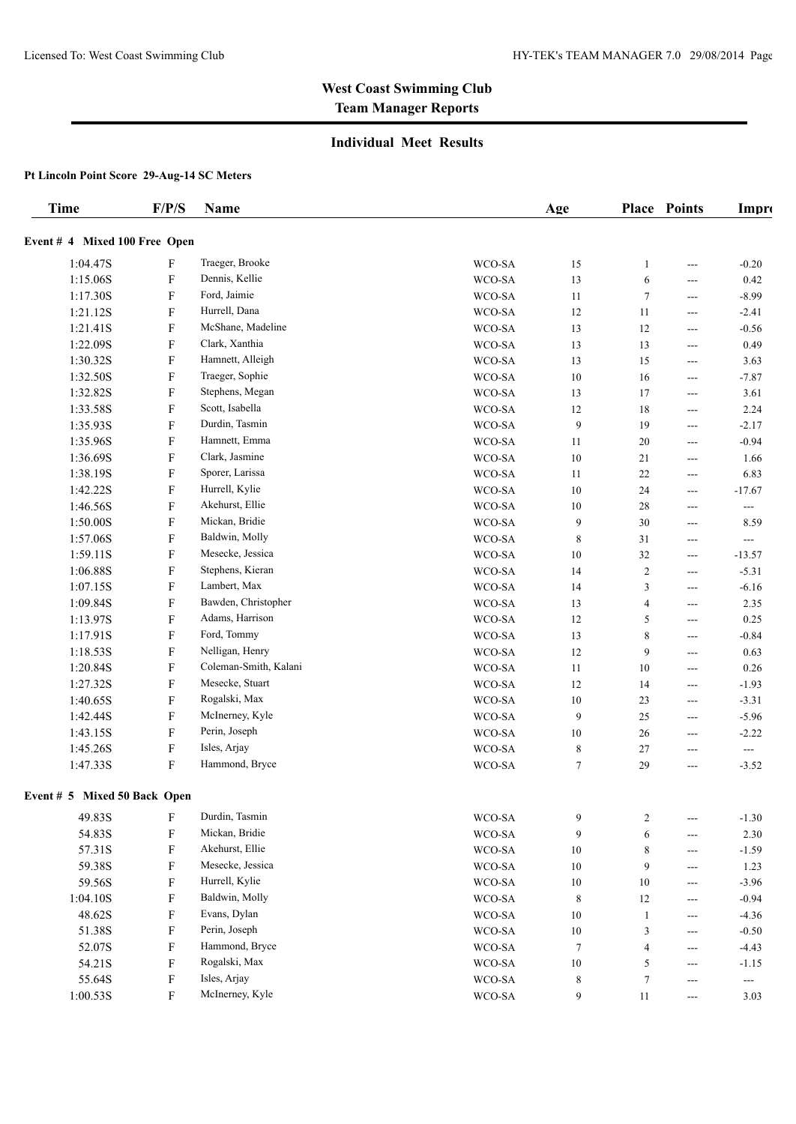### **Individual Meet Results**

| <b>Time</b>                   | F/P/S     | Name                  |                     | Age         |                         | <b>Place Points</b>      | Impro                    |
|-------------------------------|-----------|-----------------------|---------------------|-------------|-------------------------|--------------------------|--------------------------|
| Event # 4 Mixed 100 Free Open |           |                       |                     |             |                         |                          |                          |
| 1:04.47S                      | F         | Traeger, Brooke       | WCO-SA              | 15          | 1                       | $---$                    | $-0.20$                  |
| 1:15.06S                      | F         | Dennis, Kellie        | WCO-SA              | 13          | 6                       | $---$                    | 0.42                     |
| 1:17.30S                      | F         | Ford, Jaimie          | WCO-SA              | 11          | $\tau$                  | $---$                    | $-8.99$                  |
| 1:21.12S                      | F         | Hurrell, Dana         | WCO-SA              | 12          | 11                      | $---$                    | $-2.41$                  |
| 1:21.41S                      | F         | McShane, Madeline     | WCO-SA              | 13          | 12                      | ---                      | $-0.56$                  |
| 1:22.09S                      | F         | Clark, Xanthia        | WCO-SA              | 13          | 13                      | $---$                    | 0.49                     |
| 1:30.32S                      | F         | Hamnett, Alleigh      | WCO-SA              | 13          | 15                      | $---$                    | 3.63                     |
| 1:32.50S                      | F         | Traeger, Sophie       | WCO-SA              | 10          | 16                      | $---$                    | $-7.87$                  |
| 1:32.82S                      | F         | Stephens, Megan       | WCO-SA              | 13          | 17                      | $---$                    | 3.61                     |
| 1:33.58S                      | F         | Scott, Isabella       | WCO-SA              | 12          | 18                      | ---                      | 2.24                     |
| 1:35.93S                      | F         | Durdin, Tasmin        | WCO-SA              | 9           | 19                      | ---                      | $-2.17$                  |
| 1:35.96S                      | F         | Hamnett, Emma         | WCO-SA              | 11          | 20                      | $---$                    | $-0.94$                  |
| 1:36.69S                      | F         | Clark, Jasmine        | WCO-SA              | 10          | 21                      | ---                      | 1.66                     |
| 1:38.19S                      | F         | Sporer, Larissa       | WCO-SA              | 11          | 22                      | ---                      | 6.83                     |
| 1:42.22S                      | F         | Hurrell, Kylie        | WCO-SA              | 10          | 24                      | ---                      | $-17.67$                 |
| 1:46.56S                      | F         | Akehurst, Ellie       | WCO-SA              | 10          | 28                      | $---$                    | $\hspace{0.05cm} \ldots$ |
| 1:50.00S                      | F         | Mickan, Bridie        | WCO-SA              | 9           | 30                      | $---$                    | 8.59                     |
| 1:57.06S                      | F         | Baldwin, Molly        | WCO-SA              | $\,$ 8 $\,$ | 31                      | $---$                    | $\hspace{0.05cm} \ldots$ |
| 1:59.11S                      | F         | Mesecke, Jessica      | WCO-SA              | 10          | 32                      | $---$                    | $-13.57$                 |
| 1:06.88S                      | F         | Stephens, Kieran      | WCO-SA              | 14          | $\boldsymbol{2}$        | ---                      | $-5.31$                  |
| 1:07.15S                      | F         | Lambert, Max          | WCO-SA              | 14          | 3                       | ---                      | $-6.16$                  |
| 1:09.84S                      | F         | Bawden, Christopher   | WCO-SA              | 13          | $\overline{\mathbf{4}}$ | $---$                    | 2.35                     |
| 1:13.97S                      | F         | Adams, Harrison       | WCO-SA              | 12          | 5                       | $---$                    | 0.25                     |
| 1:17.91S                      | F         | Ford, Tommy           | WCO-SA              | 13          | 8                       | ---                      | $-0.84$                  |
| 1:18.53S                      | F         | Nelligan, Henry       | WCO-SA              | 12          | 9                       | ---                      | 0.63                     |
| 1:20.84S                      | F         | Coleman-Smith, Kalani | WCO-SA              | 11          | 10                      | ---                      | 0.26                     |
| 1:27.32S                      | F         | Mesecke, Stuart       | WCO-SA              | 12          | 14                      | $---$                    | $-1.93$                  |
| 1:40.65S                      | F         | Rogalski, Max         | WCO-SA              | $10\,$      | 23                      | ---                      | $-3.31$                  |
| 1:42.44S                      | F         | McInerney, Kyle       | WCO-SA              | 9           | 25                      | ---                      | $-5.96$                  |
| 1:43.15S                      | F         | Perin, Joseph         | WCO-SA              | 10          | 26                      | $---$                    | $-2.22$                  |
| 1:45.26S                      | F         | Isles, Arjay          | WCO-SA              | 8           | 27                      | $---$                    | $\hspace{0.05cm} \ldots$ |
| 1:47.33S                      | F         | Hammond, Bryce        | WCO-SA              | 7           | 29                      | ---                      | $-3.52$                  |
| Event # 5 Mixed 50 Back Open  |           |                       |                     |             |                         |                          |                          |
| 49.83S                        | ${\bf F}$ | Durdin, Tasmin        | WCO-SA              | 9           | $\overline{c}$          | $---$                    | $-1.30$                  |
| 54.83S                        | ${\bf F}$ | Mickan, Bridie        | WCO-SA              | 9           | 6                       | $---$                    | 2.30                     |
| 57.31S                        | ${\bf F}$ | Akehurst, Ellie       | WCO-SA              | $10\,$      | 8                       | $---$                    | $-1.59$                  |
| 59.38S                        | F         | Mesecke, Jessica      | WCO-SA              | $10\,$      | 9                       | $---$                    | 1.23                     |
| 59.56S                        | F         | Hurrell, Kylie        | WCO-SA              | $10\,$      | $10\,$                  | $---$                    | $-3.96$                  |
| 1:04.10S                      | ${\rm F}$ | Baldwin, Molly        | $\rm WCO\text{-}SA$ | 8           | 12                      | $---$                    | $-0.94$                  |
| 48.62S                        | ${\rm F}$ | Evans, Dylan          | $\rm WCO\text{-}SA$ | $10\,$      | $\mathbf{1}$            | $---$                    | $-4.36$                  |
| 51.38S                        | F         | Perin, Joseph         | WCO-SA              | $10\,$      | $\sqrt{3}$              | $---$                    | $-0.50$                  |
| 52.07S                        | ${\rm F}$ | Hammond, Bryce        | $\rm WCO\text{-}SA$ | 7           | $\overline{\mathbf{4}}$ | $---$                    | $-4.43$                  |
| 54.21S                        | ${\rm F}$ | Rogalski, Max         | WCO-SA              | $10\,$      | $\sqrt{5}$              | ---                      | $-1.15$                  |
| 55.64S                        | ${\bf F}$ | Isles, Arjay          | $\rm WCO\text{-}SA$ | 8           | $\boldsymbol{7}$        | ---                      | ---                      |
| 1:00.53S                      | F         | McInerney, Kyle       | WCO-SA              | 9           | $11\,$                  | $\hspace{0.05cm} \ldots$ | 3.03                     |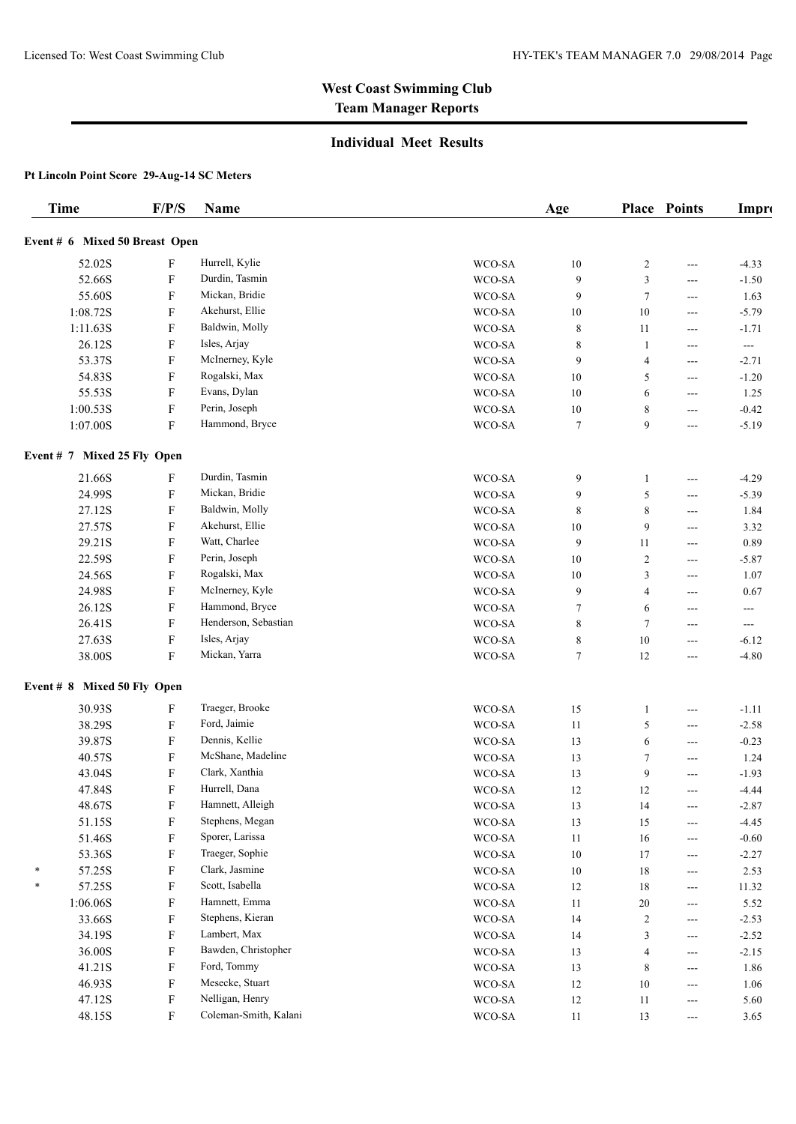## **Individual Meet Results**

| <b>Time</b>                    | F/P/S                     | Name                  |                     | Age     |                | <b>Place Points</b>        | Impro                    |
|--------------------------------|---------------------------|-----------------------|---------------------|---------|----------------|----------------------------|--------------------------|
| Event # 6 Mixed 50 Breast Open |                           |                       |                     |         |                |                            |                          |
| 52.02S                         | F                         | Hurrell, Kylie        | WCO-SA              | 10      | $\overline{c}$ | $---$                      | $-4.33$                  |
| 52.66S                         | F                         | Durdin, Tasmin        | WCO-SA              | 9       | 3              | ---                        | $-1.50$                  |
| 55.60S                         | F                         | Mickan, Bridie        | WCO-SA              | 9       | $\tau$         | $---$                      | 1.63                     |
| 1:08.72S                       | F                         | Akehurst, Ellie       | WCO-SA              | 10      | 10             | $---$                      | $-5.79$                  |
| 1:11.63S                       | F                         | Baldwin, Molly        | WCO-SA              | 8       | 11             |                            | $-1.71$                  |
| 26.12S                         | F                         | Isles, Arjay          | WCO-SA              | 8       | 1              | ---<br>$---$               | $\hspace{0.05cm} \ldots$ |
| 53.37S                         | F                         | McInerney, Kyle       | WCO-SA              | 9       | 4              | $---$                      | $-2.71$                  |
| 54.83S                         | F                         | Rogalski, Max         | WCO-SA              | 10      | 5              |                            | $-1.20$                  |
| 55.53S                         | F                         | Evans, Dylan          | WCO-SA              | 10      | 6              | $---$                      | 1.25                     |
| 1:00.53S                       | F                         | Perin, Joseph         | WCO-SA              |         | 8              | $---$                      | $-0.42$                  |
| 1:07.00S                       | $\boldsymbol{\mathrm{F}}$ | Hammond, Bryce        | WCO-SA              | 10<br>7 | 9              | ---<br>---                 | $-5.19$                  |
| Event # 7 Mixed 25 Fly Open    |                           |                       |                     |         |                |                            |                          |
| 21.66S                         | F                         | Durdin, Tasmin        | WCO-SA              | 9       | 1              | $---$                      | $-4.29$                  |
| 24.99S                         | F                         | Mickan, Bridie        | WCO-SA              | 9       | 5              | ---                        | $-5.39$                  |
| 27.12S                         | F                         | Baldwin, Molly        | WCO-SA              | 8       | 8              | ---                        | 1.84                     |
| 27.57S                         | F                         | Akehurst, Ellie       | WCO-SA              | 10      | 9              | $---$                      | 3.32                     |
| 29.21S                         | F                         | Watt, Charlee         | WCO-SA              | 9       | 11             | $---$                      | 0.89                     |
| 22.59S                         | F                         | Perin, Joseph         | WCO-SA              | 10      | $\overline{c}$ | $---$                      | $-5.87$                  |
| 24.56S                         | F                         | Rogalski, Max         | WCO-SA              | 10      | 3              | $---$                      | 1.07                     |
| 24.98S                         | ${\bf F}$                 | McInerney, Kyle       | WCO-SA              | 9       | 4              | $---$                      | 0.67                     |
| 26.12S                         | F                         | Hammond, Bryce        | WCO-SA              | 7       | 6              | $---$                      | ---                      |
| 26.41S                         | F                         | Henderson, Sebastian  | WCO-SA              | 8       | 7              | $---$                      | $\hspace{0.05cm} \ldots$ |
| 27.63S                         | ${\bf F}$                 | Isles, Arjay          | WCO-SA              | 8       | 10             | ---                        | $-6.12$                  |
| 38.00S                         | F                         | Mickan, Yarra         | WCO-SA              | 7       | 12             | ---                        | $-4.80$                  |
| Event # 8 Mixed 50 Fly Open    |                           |                       |                     |         |                |                            |                          |
| 30.93S                         | F                         | Traeger, Brooke       | WCO-SA              | 15      | 1              | ---                        | $-1.11$                  |
| 38.29S                         | F                         | Ford, Jaimie          | WCO-SA              | 11      | 5              | ---                        | $-2.58$                  |
| 39.87S                         | F                         | Dennis, Kellie        | WCO-SA              | 13      | 6              | $---$                      | $-0.23$                  |
| 40.57S                         | F                         | McShane, Madeline     | WCO-SA              | 13      | 7              | ---                        | 1.24                     |
| 43.04S                         | F                         | Clark, Xanthia        | WCO-SA              | 13      | 9              | ---                        | $-1.93$                  |
| 47.84S                         | F                         | Hurrell, Dana         | WCO-SA              | 12      | 12             | $---$                      | $-4.44$                  |
| 48.67S                         | F                         | Hamnett, Alleigh      | WCO-SA              | 13      | 14             | $---$                      | $-2.87$                  |
| 51.15S                         | ${\bf F}$                 | Stephens, Megan       | $\rm WCO\text{-}SA$ | 13      | 15             | $---$                      | $-4.45$                  |
| 51.46S                         | F                         | Sporer, Larissa       | $\rm WCO\text{-}SA$ | $11\,$  | $16\,$         | ---                        | $-0.60$                  |
| 53.36S                         | F                         | Traeger, Sophie       | $\rm WCO\text{-}SA$ | $10\,$  | 17             | $\qquad \qquad - -$        | $-2.27$                  |
| 57.25S                         | F                         | Clark, Jasmine        | $\rm WCO\text{-}SA$ | $10\,$  | $18\,$         | $---$                      | 2.53                     |
| 57.25S                         | F                         | Scott, Isabella       | WCO-SA              | $12\,$  | $18\,$         | ---                        | 11.32                    |
| 1:06.06S                       | F                         | Hamnett, Emma         | WCO-SA              | 11      | 20             |                            | 5.52                     |
| 33.66S                         | F                         | Stephens, Kieran      | WCO-SA              | 14      | $\overline{c}$ | ---<br>$\qquad \qquad - -$ | $-2.53$                  |
| 34.19S                         | ${\bf F}$                 | Lambert, Max          | WCO-SA              | 14      | 3              | $---$                      | $-2.52$                  |
| 36.00S                         | ${\bf F}$                 | Bawden, Christopher   | WCO-SA              | 13      | 4              |                            | $-2.15$                  |
| 41.21S                         | F                         | Ford, Tommy           | WCO-SA              | 13      | 8              | ---                        | 1.86                     |
| 46.93S                         | ${\bf F}$                 | Mesecke, Stuart       | $\rm WCO\text{-}SA$ | $12\,$  | $10\,$         | ---                        | 1.06                     |
| 47.12S                         | ${\bf F}$                 | Nelligan, Henry       | $\rm WCO\text{-}SA$ | $12\,$  | $11\,$         | $\qquad \qquad - -$        | 5.60                     |
| 48.15S                         | F                         | Coleman-Smith, Kalani | $\rm WCO\text{-}SA$ |         | 13             | ---                        | 3.65                     |
|                                |                           |                       |                     | 11      |                | $---$                      |                          |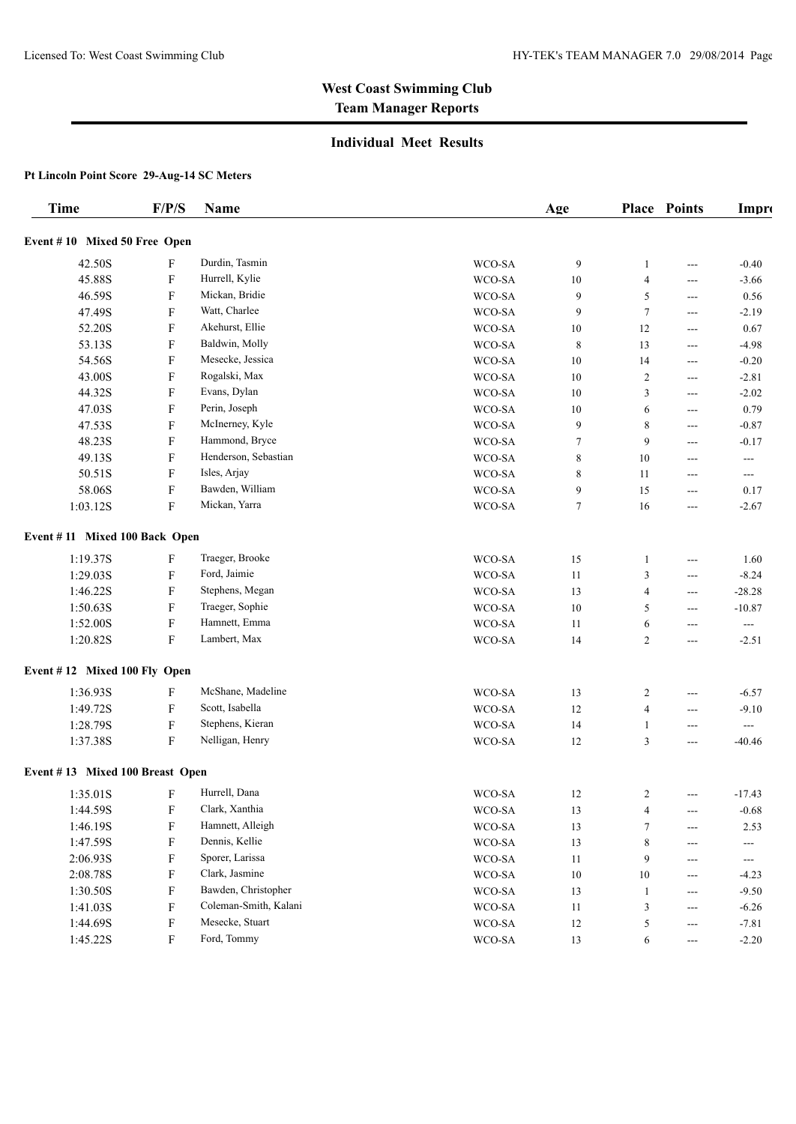### **Individual Meet Results**

| Event #10 Mixed 50 Free Open<br>Durdin, Tasmin<br>42.50S<br>F<br>WCO-SA<br>9<br>$-0.40$<br>1<br>$---$<br>Hurrell, Kylie<br>45.88S<br>F<br>WCO-SA<br>10<br>4<br>$-3.66$<br>---<br>Mickan, Bridie<br>46.59S<br>F<br>5<br>WCO-SA<br>9<br>0.56<br>$---$<br>Watt, Charlee<br>47.49S<br>F<br>WCO-SA<br>9<br>$\tau$<br>$-2.19$<br>$---$<br>Akehurst, Ellie<br>52.20S<br>F<br>WCO-SA<br>12<br>0.67<br>10<br>$---$<br>Baldwin, Molly<br>F<br>53.13S<br>WCO-SA<br>8<br>13<br>$-4.98$<br>$---$<br>F<br>Mesecke, Jessica<br>54.56S<br>WCO-SA<br>10<br>14<br>$-0.20$<br>$---$<br>Rogalski, Max<br>43.00S<br>F<br>WCO-SA<br>10<br>$\overline{c}$<br>$-2.81$<br>$---$<br>Evans, Dylan<br>F<br>44.32S<br>WCO-SA<br>10<br>3<br>$-2.02$<br>$---$<br>Perin, Joseph<br>F<br>47.03S<br>WCO-SA<br>0.79<br>10<br>6<br>$---$<br>McInerney, Kyle<br>F<br>47.53S<br>WCO-SA<br>8<br>9<br>$-0.87$<br>---<br>Hammond, Bryce<br>F<br>48.23S<br>WCO-SA<br>9<br>7<br>$-0.17$<br>---<br>Henderson, Sebastian<br>49.13S<br>F<br>WCO-SA<br>8<br>10<br>$\hspace{0.05cm} \ldots$<br>$---$<br>50.51S<br>F<br>Isles, Arjay<br>WCO-SA<br>8<br>11<br>$---$<br>$---$<br>Bawden, William<br>58.06S<br>F<br>WCO-SA<br>9<br>15<br>0.17<br>$---$<br>$\boldsymbol{\mathrm{F}}$<br>Mickan, Yarra<br>1:03.12S<br>$\tau$<br>16<br>WCO-SA<br>$-2.67$<br>---<br>Event #11 Mixed 100 Back Open<br>Traeger, Brooke<br>1:19.37S<br>F<br>WCO-SA<br>15<br>1.60<br>1<br>$---$<br>Ford, Jaimie<br>1:29.03S<br>F<br>WCO-SA<br>$-8.24$<br>11<br>3<br>$---$<br>1:46.22S<br>F<br>Stephens, Megan<br>WCO-SA<br>$-28.28$<br>13<br>4<br>$---$<br>Traeger, Sophie<br>1:50.63S<br>F<br>WCO-SA<br>10<br>5<br>$-10.87$<br>$---$<br>$\boldsymbol{\mathrm{F}}$<br>Hamnett, Emma<br>1:52.00S<br>WCO-SA<br>11<br>6<br>$\overline{a}$<br>$---$<br>Lambert, Max<br>F<br>1:20.82S<br>WCO-SA<br>14<br>$\overline{2}$<br>$-2.51$<br>---<br>Event #12 Mixed 100 Fly Open<br>McShane, Madeline<br>1:36.93S<br>F<br>WCO-SA<br>13<br>2<br>$-6.57$<br>$---$<br>Scott, Isabella<br>1:49.72S<br>F<br>WCO-SA<br>12<br>4<br>$-9.10$<br>---<br>Stephens, Kieran<br>1:28.79S<br>F<br>WCO-SA<br>14<br>1<br>$\hspace{0.05cm} \ldots$<br>---<br>$\boldsymbol{\mathrm{F}}$<br>Nelligan, Henry<br>1:37.38S<br>WCO-SA<br>12<br>3<br>$-40.46$<br>$---$<br>Event #13 Mixed 100 Breast Open<br>Hurrell, Dana<br>F<br>WCO-SA<br>1:35.01S<br>12<br>2<br>$-17.43$<br>$---$<br>Clark, Xanthia<br>1:44.59S<br>F<br>$\rm WCO\text{-}SA$<br>$13\,$<br>4<br>$-0.68$<br>---<br>Hamnett, Alleigh<br>${\bf F}$<br>1:46.19S<br>$\rm WCO\text{-}SA$<br>13<br>$\tau$<br>2.53<br>---<br>Dennis, Kellie<br>${\bf F}$<br>1:47.59S<br>$\rm WCO\text{-}SA$<br>13<br>8<br>$\hspace{0.05cm} \ldots$<br>$---$<br>Sporer, Larissa<br>2:06.93S<br>F<br>$\rm WCO\text{-}SA$<br>9<br>11<br>$\sim$ $\sim$<br>---<br>Clark, Jasmine<br>${\bf F}$<br>2:08.78S<br>WCO-SA<br>$10\,$<br>$10\,$<br>$-4.23$<br>$\qquad \qquad \text{---}$<br>Bawden, Christopher<br>1:30.50S<br>F<br>$\rm WCO\text{-}SA$<br>$-9.50$<br>13<br>$\mathbf{1}$<br>---<br>Coleman-Smith, Kalani<br>${\bf F}$<br>1:41.03S<br>$\rm WCO\text{-}SA$<br>3<br>$-6.26$<br>11<br>---<br>Mesecke, Stuart<br>$\mathbf F$<br>1:44.69S<br>$\rm WCO\text{-}SA$<br>$12\,$<br>5<br>$-7.81$<br>---<br>${\bf F}$<br>Ford, Tommy<br>1:45.22S<br>$\rm WCO\text{-}SA$<br>13<br>6<br>$-2.20$<br>$---$ | Time | F/P/S | Name | Age | <b>Place Points</b> | Impro |
|-----------------------------------------------------------------------------------------------------------------------------------------------------------------------------------------------------------------------------------------------------------------------------------------------------------------------------------------------------------------------------------------------------------------------------------------------------------------------------------------------------------------------------------------------------------------------------------------------------------------------------------------------------------------------------------------------------------------------------------------------------------------------------------------------------------------------------------------------------------------------------------------------------------------------------------------------------------------------------------------------------------------------------------------------------------------------------------------------------------------------------------------------------------------------------------------------------------------------------------------------------------------------------------------------------------------------------------------------------------------------------------------------------------------------------------------------------------------------------------------------------------------------------------------------------------------------------------------------------------------------------------------------------------------------------------------------------------------------------------------------------------------------------------------------------------------------------------------------------------------------------------------------------------------------------------------------------------------------------------------------------------------------------------------------------------------------------------------------------------------------------------------------------------------------------------------------------------------------------------------------------------------------------------------------------------------------------------------------------------------------------------------------------------------------------------------------------------------------------------------------------------------------------------------------------------------------------------------------------------------------------------------------------------------------------------------------------------------------------------------------------------------------------------------------------------------------------------------------------------------------------------------------------------------------------------------------------------------------------------------------------------------------------------------------------------------------------------------------------------------------------------------------------------------------------------------------------------------------------------------------------------------------------------------------------------------------|------|-------|------|-----|---------------------|-------|
|                                                                                                                                                                                                                                                                                                                                                                                                                                                                                                                                                                                                                                                                                                                                                                                                                                                                                                                                                                                                                                                                                                                                                                                                                                                                                                                                                                                                                                                                                                                                                                                                                                                                                                                                                                                                                                                                                                                                                                                                                                                                                                                                                                                                                                                                                                                                                                                                                                                                                                                                                                                                                                                                                                                                                                                                                                                                                                                                                                                                                                                                                                                                                                                                                                                                                                                       |      |       |      |     |                     |       |
|                                                                                                                                                                                                                                                                                                                                                                                                                                                                                                                                                                                                                                                                                                                                                                                                                                                                                                                                                                                                                                                                                                                                                                                                                                                                                                                                                                                                                                                                                                                                                                                                                                                                                                                                                                                                                                                                                                                                                                                                                                                                                                                                                                                                                                                                                                                                                                                                                                                                                                                                                                                                                                                                                                                                                                                                                                                                                                                                                                                                                                                                                                                                                                                                                                                                                                                       |      |       |      |     |                     |       |
|                                                                                                                                                                                                                                                                                                                                                                                                                                                                                                                                                                                                                                                                                                                                                                                                                                                                                                                                                                                                                                                                                                                                                                                                                                                                                                                                                                                                                                                                                                                                                                                                                                                                                                                                                                                                                                                                                                                                                                                                                                                                                                                                                                                                                                                                                                                                                                                                                                                                                                                                                                                                                                                                                                                                                                                                                                                                                                                                                                                                                                                                                                                                                                                                                                                                                                                       |      |       |      |     |                     |       |
|                                                                                                                                                                                                                                                                                                                                                                                                                                                                                                                                                                                                                                                                                                                                                                                                                                                                                                                                                                                                                                                                                                                                                                                                                                                                                                                                                                                                                                                                                                                                                                                                                                                                                                                                                                                                                                                                                                                                                                                                                                                                                                                                                                                                                                                                                                                                                                                                                                                                                                                                                                                                                                                                                                                                                                                                                                                                                                                                                                                                                                                                                                                                                                                                                                                                                                                       |      |       |      |     |                     |       |
|                                                                                                                                                                                                                                                                                                                                                                                                                                                                                                                                                                                                                                                                                                                                                                                                                                                                                                                                                                                                                                                                                                                                                                                                                                                                                                                                                                                                                                                                                                                                                                                                                                                                                                                                                                                                                                                                                                                                                                                                                                                                                                                                                                                                                                                                                                                                                                                                                                                                                                                                                                                                                                                                                                                                                                                                                                                                                                                                                                                                                                                                                                                                                                                                                                                                                                                       |      |       |      |     |                     |       |
|                                                                                                                                                                                                                                                                                                                                                                                                                                                                                                                                                                                                                                                                                                                                                                                                                                                                                                                                                                                                                                                                                                                                                                                                                                                                                                                                                                                                                                                                                                                                                                                                                                                                                                                                                                                                                                                                                                                                                                                                                                                                                                                                                                                                                                                                                                                                                                                                                                                                                                                                                                                                                                                                                                                                                                                                                                                                                                                                                                                                                                                                                                                                                                                                                                                                                                                       |      |       |      |     |                     |       |
|                                                                                                                                                                                                                                                                                                                                                                                                                                                                                                                                                                                                                                                                                                                                                                                                                                                                                                                                                                                                                                                                                                                                                                                                                                                                                                                                                                                                                                                                                                                                                                                                                                                                                                                                                                                                                                                                                                                                                                                                                                                                                                                                                                                                                                                                                                                                                                                                                                                                                                                                                                                                                                                                                                                                                                                                                                                                                                                                                                                                                                                                                                                                                                                                                                                                                                                       |      |       |      |     |                     |       |
|                                                                                                                                                                                                                                                                                                                                                                                                                                                                                                                                                                                                                                                                                                                                                                                                                                                                                                                                                                                                                                                                                                                                                                                                                                                                                                                                                                                                                                                                                                                                                                                                                                                                                                                                                                                                                                                                                                                                                                                                                                                                                                                                                                                                                                                                                                                                                                                                                                                                                                                                                                                                                                                                                                                                                                                                                                                                                                                                                                                                                                                                                                                                                                                                                                                                                                                       |      |       |      |     |                     |       |
|                                                                                                                                                                                                                                                                                                                                                                                                                                                                                                                                                                                                                                                                                                                                                                                                                                                                                                                                                                                                                                                                                                                                                                                                                                                                                                                                                                                                                                                                                                                                                                                                                                                                                                                                                                                                                                                                                                                                                                                                                                                                                                                                                                                                                                                                                                                                                                                                                                                                                                                                                                                                                                                                                                                                                                                                                                                                                                                                                                                                                                                                                                                                                                                                                                                                                                                       |      |       |      |     |                     |       |
|                                                                                                                                                                                                                                                                                                                                                                                                                                                                                                                                                                                                                                                                                                                                                                                                                                                                                                                                                                                                                                                                                                                                                                                                                                                                                                                                                                                                                                                                                                                                                                                                                                                                                                                                                                                                                                                                                                                                                                                                                                                                                                                                                                                                                                                                                                                                                                                                                                                                                                                                                                                                                                                                                                                                                                                                                                                                                                                                                                                                                                                                                                                                                                                                                                                                                                                       |      |       |      |     |                     |       |
|                                                                                                                                                                                                                                                                                                                                                                                                                                                                                                                                                                                                                                                                                                                                                                                                                                                                                                                                                                                                                                                                                                                                                                                                                                                                                                                                                                                                                                                                                                                                                                                                                                                                                                                                                                                                                                                                                                                                                                                                                                                                                                                                                                                                                                                                                                                                                                                                                                                                                                                                                                                                                                                                                                                                                                                                                                                                                                                                                                                                                                                                                                                                                                                                                                                                                                                       |      |       |      |     |                     |       |
|                                                                                                                                                                                                                                                                                                                                                                                                                                                                                                                                                                                                                                                                                                                                                                                                                                                                                                                                                                                                                                                                                                                                                                                                                                                                                                                                                                                                                                                                                                                                                                                                                                                                                                                                                                                                                                                                                                                                                                                                                                                                                                                                                                                                                                                                                                                                                                                                                                                                                                                                                                                                                                                                                                                                                                                                                                                                                                                                                                                                                                                                                                                                                                                                                                                                                                                       |      |       |      |     |                     |       |
|                                                                                                                                                                                                                                                                                                                                                                                                                                                                                                                                                                                                                                                                                                                                                                                                                                                                                                                                                                                                                                                                                                                                                                                                                                                                                                                                                                                                                                                                                                                                                                                                                                                                                                                                                                                                                                                                                                                                                                                                                                                                                                                                                                                                                                                                                                                                                                                                                                                                                                                                                                                                                                                                                                                                                                                                                                                                                                                                                                                                                                                                                                                                                                                                                                                                                                                       |      |       |      |     |                     |       |
|                                                                                                                                                                                                                                                                                                                                                                                                                                                                                                                                                                                                                                                                                                                                                                                                                                                                                                                                                                                                                                                                                                                                                                                                                                                                                                                                                                                                                                                                                                                                                                                                                                                                                                                                                                                                                                                                                                                                                                                                                                                                                                                                                                                                                                                                                                                                                                                                                                                                                                                                                                                                                                                                                                                                                                                                                                                                                                                                                                                                                                                                                                                                                                                                                                                                                                                       |      |       |      |     |                     |       |
|                                                                                                                                                                                                                                                                                                                                                                                                                                                                                                                                                                                                                                                                                                                                                                                                                                                                                                                                                                                                                                                                                                                                                                                                                                                                                                                                                                                                                                                                                                                                                                                                                                                                                                                                                                                                                                                                                                                                                                                                                                                                                                                                                                                                                                                                                                                                                                                                                                                                                                                                                                                                                                                                                                                                                                                                                                                                                                                                                                                                                                                                                                                                                                                                                                                                                                                       |      |       |      |     |                     |       |
|                                                                                                                                                                                                                                                                                                                                                                                                                                                                                                                                                                                                                                                                                                                                                                                                                                                                                                                                                                                                                                                                                                                                                                                                                                                                                                                                                                                                                                                                                                                                                                                                                                                                                                                                                                                                                                                                                                                                                                                                                                                                                                                                                                                                                                                                                                                                                                                                                                                                                                                                                                                                                                                                                                                                                                                                                                                                                                                                                                                                                                                                                                                                                                                                                                                                                                                       |      |       |      |     |                     |       |
|                                                                                                                                                                                                                                                                                                                                                                                                                                                                                                                                                                                                                                                                                                                                                                                                                                                                                                                                                                                                                                                                                                                                                                                                                                                                                                                                                                                                                                                                                                                                                                                                                                                                                                                                                                                                                                                                                                                                                                                                                                                                                                                                                                                                                                                                                                                                                                                                                                                                                                                                                                                                                                                                                                                                                                                                                                                                                                                                                                                                                                                                                                                                                                                                                                                                                                                       |      |       |      |     |                     |       |
|                                                                                                                                                                                                                                                                                                                                                                                                                                                                                                                                                                                                                                                                                                                                                                                                                                                                                                                                                                                                                                                                                                                                                                                                                                                                                                                                                                                                                                                                                                                                                                                                                                                                                                                                                                                                                                                                                                                                                                                                                                                                                                                                                                                                                                                                                                                                                                                                                                                                                                                                                                                                                                                                                                                                                                                                                                                                                                                                                                                                                                                                                                                                                                                                                                                                                                                       |      |       |      |     |                     |       |
|                                                                                                                                                                                                                                                                                                                                                                                                                                                                                                                                                                                                                                                                                                                                                                                                                                                                                                                                                                                                                                                                                                                                                                                                                                                                                                                                                                                                                                                                                                                                                                                                                                                                                                                                                                                                                                                                                                                                                                                                                                                                                                                                                                                                                                                                                                                                                                                                                                                                                                                                                                                                                                                                                                                                                                                                                                                                                                                                                                                                                                                                                                                                                                                                                                                                                                                       |      |       |      |     |                     |       |
|                                                                                                                                                                                                                                                                                                                                                                                                                                                                                                                                                                                                                                                                                                                                                                                                                                                                                                                                                                                                                                                                                                                                                                                                                                                                                                                                                                                                                                                                                                                                                                                                                                                                                                                                                                                                                                                                                                                                                                                                                                                                                                                                                                                                                                                                                                                                                                                                                                                                                                                                                                                                                                                                                                                                                                                                                                                                                                                                                                                                                                                                                                                                                                                                                                                                                                                       |      |       |      |     |                     |       |
|                                                                                                                                                                                                                                                                                                                                                                                                                                                                                                                                                                                                                                                                                                                                                                                                                                                                                                                                                                                                                                                                                                                                                                                                                                                                                                                                                                                                                                                                                                                                                                                                                                                                                                                                                                                                                                                                                                                                                                                                                                                                                                                                                                                                                                                                                                                                                                                                                                                                                                                                                                                                                                                                                                                                                                                                                                                                                                                                                                                                                                                                                                                                                                                                                                                                                                                       |      |       |      |     |                     |       |
|                                                                                                                                                                                                                                                                                                                                                                                                                                                                                                                                                                                                                                                                                                                                                                                                                                                                                                                                                                                                                                                                                                                                                                                                                                                                                                                                                                                                                                                                                                                                                                                                                                                                                                                                                                                                                                                                                                                                                                                                                                                                                                                                                                                                                                                                                                                                                                                                                                                                                                                                                                                                                                                                                                                                                                                                                                                                                                                                                                                                                                                                                                                                                                                                                                                                                                                       |      |       |      |     |                     |       |
|                                                                                                                                                                                                                                                                                                                                                                                                                                                                                                                                                                                                                                                                                                                                                                                                                                                                                                                                                                                                                                                                                                                                                                                                                                                                                                                                                                                                                                                                                                                                                                                                                                                                                                                                                                                                                                                                                                                                                                                                                                                                                                                                                                                                                                                                                                                                                                                                                                                                                                                                                                                                                                                                                                                                                                                                                                                                                                                                                                                                                                                                                                                                                                                                                                                                                                                       |      |       |      |     |                     |       |
|                                                                                                                                                                                                                                                                                                                                                                                                                                                                                                                                                                                                                                                                                                                                                                                                                                                                                                                                                                                                                                                                                                                                                                                                                                                                                                                                                                                                                                                                                                                                                                                                                                                                                                                                                                                                                                                                                                                                                                                                                                                                                                                                                                                                                                                                                                                                                                                                                                                                                                                                                                                                                                                                                                                                                                                                                                                                                                                                                                                                                                                                                                                                                                                                                                                                                                                       |      |       |      |     |                     |       |
|                                                                                                                                                                                                                                                                                                                                                                                                                                                                                                                                                                                                                                                                                                                                                                                                                                                                                                                                                                                                                                                                                                                                                                                                                                                                                                                                                                                                                                                                                                                                                                                                                                                                                                                                                                                                                                                                                                                                                                                                                                                                                                                                                                                                                                                                                                                                                                                                                                                                                                                                                                                                                                                                                                                                                                                                                                                                                                                                                                                                                                                                                                                                                                                                                                                                                                                       |      |       |      |     |                     |       |
|                                                                                                                                                                                                                                                                                                                                                                                                                                                                                                                                                                                                                                                                                                                                                                                                                                                                                                                                                                                                                                                                                                                                                                                                                                                                                                                                                                                                                                                                                                                                                                                                                                                                                                                                                                                                                                                                                                                                                                                                                                                                                                                                                                                                                                                                                                                                                                                                                                                                                                                                                                                                                                                                                                                                                                                                                                                                                                                                                                                                                                                                                                                                                                                                                                                                                                                       |      |       |      |     |                     |       |
|                                                                                                                                                                                                                                                                                                                                                                                                                                                                                                                                                                                                                                                                                                                                                                                                                                                                                                                                                                                                                                                                                                                                                                                                                                                                                                                                                                                                                                                                                                                                                                                                                                                                                                                                                                                                                                                                                                                                                                                                                                                                                                                                                                                                                                                                                                                                                                                                                                                                                                                                                                                                                                                                                                                                                                                                                                                                                                                                                                                                                                                                                                                                                                                                                                                                                                                       |      |       |      |     |                     |       |
|                                                                                                                                                                                                                                                                                                                                                                                                                                                                                                                                                                                                                                                                                                                                                                                                                                                                                                                                                                                                                                                                                                                                                                                                                                                                                                                                                                                                                                                                                                                                                                                                                                                                                                                                                                                                                                                                                                                                                                                                                                                                                                                                                                                                                                                                                                                                                                                                                                                                                                                                                                                                                                                                                                                                                                                                                                                                                                                                                                                                                                                                                                                                                                                                                                                                                                                       |      |       |      |     |                     |       |
|                                                                                                                                                                                                                                                                                                                                                                                                                                                                                                                                                                                                                                                                                                                                                                                                                                                                                                                                                                                                                                                                                                                                                                                                                                                                                                                                                                                                                                                                                                                                                                                                                                                                                                                                                                                                                                                                                                                                                                                                                                                                                                                                                                                                                                                                                                                                                                                                                                                                                                                                                                                                                                                                                                                                                                                                                                                                                                                                                                                                                                                                                                                                                                                                                                                                                                                       |      |       |      |     |                     |       |
|                                                                                                                                                                                                                                                                                                                                                                                                                                                                                                                                                                                                                                                                                                                                                                                                                                                                                                                                                                                                                                                                                                                                                                                                                                                                                                                                                                                                                                                                                                                                                                                                                                                                                                                                                                                                                                                                                                                                                                                                                                                                                                                                                                                                                                                                                                                                                                                                                                                                                                                                                                                                                                                                                                                                                                                                                                                                                                                                                                                                                                                                                                                                                                                                                                                                                                                       |      |       |      |     |                     |       |
|                                                                                                                                                                                                                                                                                                                                                                                                                                                                                                                                                                                                                                                                                                                                                                                                                                                                                                                                                                                                                                                                                                                                                                                                                                                                                                                                                                                                                                                                                                                                                                                                                                                                                                                                                                                                                                                                                                                                                                                                                                                                                                                                                                                                                                                                                                                                                                                                                                                                                                                                                                                                                                                                                                                                                                                                                                                                                                                                                                                                                                                                                                                                                                                                                                                                                                                       |      |       |      |     |                     |       |
|                                                                                                                                                                                                                                                                                                                                                                                                                                                                                                                                                                                                                                                                                                                                                                                                                                                                                                                                                                                                                                                                                                                                                                                                                                                                                                                                                                                                                                                                                                                                                                                                                                                                                                                                                                                                                                                                                                                                                                                                                                                                                                                                                                                                                                                                                                                                                                                                                                                                                                                                                                                                                                                                                                                                                                                                                                                                                                                                                                                                                                                                                                                                                                                                                                                                                                                       |      |       |      |     |                     |       |
|                                                                                                                                                                                                                                                                                                                                                                                                                                                                                                                                                                                                                                                                                                                                                                                                                                                                                                                                                                                                                                                                                                                                                                                                                                                                                                                                                                                                                                                                                                                                                                                                                                                                                                                                                                                                                                                                                                                                                                                                                                                                                                                                                                                                                                                                                                                                                                                                                                                                                                                                                                                                                                                                                                                                                                                                                                                                                                                                                                                                                                                                                                                                                                                                                                                                                                                       |      |       |      |     |                     |       |
|                                                                                                                                                                                                                                                                                                                                                                                                                                                                                                                                                                                                                                                                                                                                                                                                                                                                                                                                                                                                                                                                                                                                                                                                                                                                                                                                                                                                                                                                                                                                                                                                                                                                                                                                                                                                                                                                                                                                                                                                                                                                                                                                                                                                                                                                                                                                                                                                                                                                                                                                                                                                                                                                                                                                                                                                                                                                                                                                                                                                                                                                                                                                                                                                                                                                                                                       |      |       |      |     |                     |       |
|                                                                                                                                                                                                                                                                                                                                                                                                                                                                                                                                                                                                                                                                                                                                                                                                                                                                                                                                                                                                                                                                                                                                                                                                                                                                                                                                                                                                                                                                                                                                                                                                                                                                                                                                                                                                                                                                                                                                                                                                                                                                                                                                                                                                                                                                                                                                                                                                                                                                                                                                                                                                                                                                                                                                                                                                                                                                                                                                                                                                                                                                                                                                                                                                                                                                                                                       |      |       |      |     |                     |       |
|                                                                                                                                                                                                                                                                                                                                                                                                                                                                                                                                                                                                                                                                                                                                                                                                                                                                                                                                                                                                                                                                                                                                                                                                                                                                                                                                                                                                                                                                                                                                                                                                                                                                                                                                                                                                                                                                                                                                                                                                                                                                                                                                                                                                                                                                                                                                                                                                                                                                                                                                                                                                                                                                                                                                                                                                                                                                                                                                                                                                                                                                                                                                                                                                                                                                                                                       |      |       |      |     |                     |       |
|                                                                                                                                                                                                                                                                                                                                                                                                                                                                                                                                                                                                                                                                                                                                                                                                                                                                                                                                                                                                                                                                                                                                                                                                                                                                                                                                                                                                                                                                                                                                                                                                                                                                                                                                                                                                                                                                                                                                                                                                                                                                                                                                                                                                                                                                                                                                                                                                                                                                                                                                                                                                                                                                                                                                                                                                                                                                                                                                                                                                                                                                                                                                                                                                                                                                                                                       |      |       |      |     |                     |       |
|                                                                                                                                                                                                                                                                                                                                                                                                                                                                                                                                                                                                                                                                                                                                                                                                                                                                                                                                                                                                                                                                                                                                                                                                                                                                                                                                                                                                                                                                                                                                                                                                                                                                                                                                                                                                                                                                                                                                                                                                                                                                                                                                                                                                                                                                                                                                                                                                                                                                                                                                                                                                                                                                                                                                                                                                                                                                                                                                                                                                                                                                                                                                                                                                                                                                                                                       |      |       |      |     |                     |       |
|                                                                                                                                                                                                                                                                                                                                                                                                                                                                                                                                                                                                                                                                                                                                                                                                                                                                                                                                                                                                                                                                                                                                                                                                                                                                                                                                                                                                                                                                                                                                                                                                                                                                                                                                                                                                                                                                                                                                                                                                                                                                                                                                                                                                                                                                                                                                                                                                                                                                                                                                                                                                                                                                                                                                                                                                                                                                                                                                                                                                                                                                                                                                                                                                                                                                                                                       |      |       |      |     |                     |       |
|                                                                                                                                                                                                                                                                                                                                                                                                                                                                                                                                                                                                                                                                                                                                                                                                                                                                                                                                                                                                                                                                                                                                                                                                                                                                                                                                                                                                                                                                                                                                                                                                                                                                                                                                                                                                                                                                                                                                                                                                                                                                                                                                                                                                                                                                                                                                                                                                                                                                                                                                                                                                                                                                                                                                                                                                                                                                                                                                                                                                                                                                                                                                                                                                                                                                                                                       |      |       |      |     |                     |       |